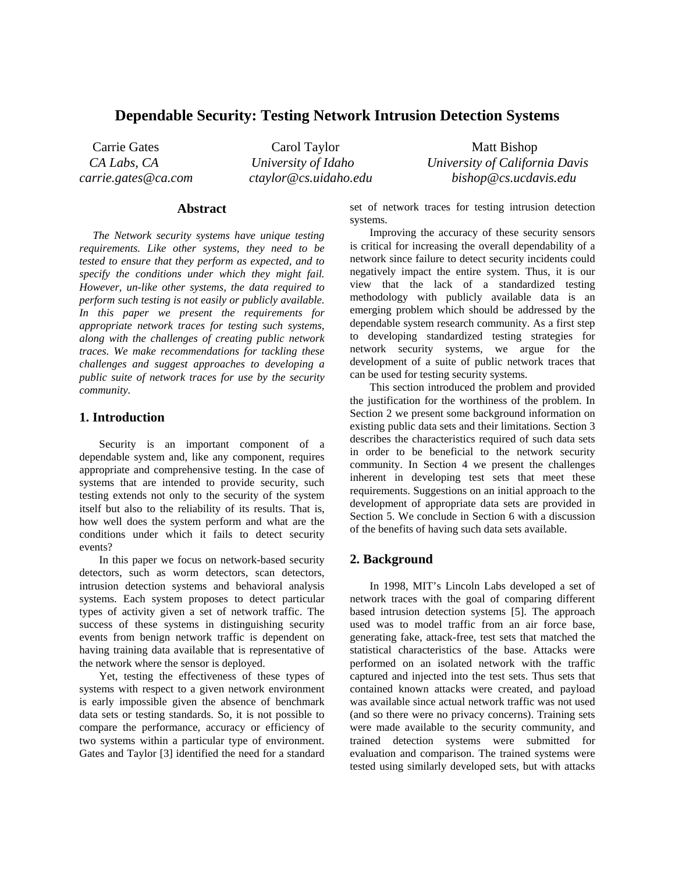## **Dependable Security: Testing Network Intrusion Detection Systems**

Carrie Gates Carol Taylor Matt Bishop

 *CA Labs, CA University of Idaho University of California Davis carrie.gates@ca.com ctaylor@cs.uidaho.edu bishop@cs.ucdavis.edu* 

#### **Abstract**

*The Network security systems have unique testing requirements. Like other systems, they need to be tested to ensure that they perform as expected, and to specify the conditions under which they might fail. However, un-like other systems, the data required to perform such testing is not easily or publicly available. In this paper we present the requirements for appropriate network traces for testing such systems, along with the challenges of creating public network traces. We make recommendations for tackling these challenges and suggest approaches to developing a public suite of network traces for use by the security community.* 

#### **1. Introduction**

 Security is an important component of a dependable system and, like any component, requires appropriate and comprehensive testing. In the case of systems that are intended to provide security, such testing extends not only to the security of the system itself but also to the reliability of its results. That is, how well does the system perform and what are the conditions under which it fails to detect security events?

 In this paper we focus on network-based security detectors, such as worm detectors, scan detectors, intrusion detection systems and behavioral analysis systems. Each system proposes to detect particular types of activity given a set of network traffic. The success of these systems in distinguishing security events from benign network traffic is dependent on having training data available that is representative of the network where the sensor is deployed.

 Yet, testing the effectiveness of these types of systems with respect to a given network environment is early impossible given the absence of benchmark data sets or testing standards. So, it is not possible to compare the performance, accuracy or efficiency of two systems within a particular type of environment. Gates and Taylor [3] identified the need for a standard set of network traces for testing intrusion detection systems.

 Improving the accuracy of these security sensors is critical for increasing the overall dependability of a network since failure to detect security incidents could negatively impact the entire system. Thus, it is our view that the lack of a standardized testing methodology with publicly available data is an emerging problem which should be addressed by the dependable system research community. As a first step to developing standardized testing strategies for network security systems, we argue for the development of a suite of public network traces that can be used for testing security systems.

 This section introduced the problem and provided the justification for the worthiness of the problem. In Section 2 we present some background information on existing public data sets and their limitations. Section 3 describes the characteristics required of such data sets in order to be beneficial to the network security community. In Section 4 we present the challenges inherent in developing test sets that meet these requirements. Suggestions on an initial approach to the development of appropriate data sets are provided in Section 5. We conclude in Section 6 with a discussion of the benefits of having such data sets available.

#### **2. Background**

 In 1998, MIT's Lincoln Labs developed a set of network traces with the goal of comparing different based intrusion detection systems [5]. The approach used was to model traffic from an air force base, generating fake, attack-free, test sets that matched the statistical characteristics of the base. Attacks were performed on an isolated network with the traffic captured and injected into the test sets. Thus sets that contained known attacks were created, and payload was available since actual network traffic was not used (and so there were no privacy concerns). Training sets were made available to the security community, and trained detection systems were submitted for evaluation and comparison. The trained systems were tested using similarly developed sets, but with attacks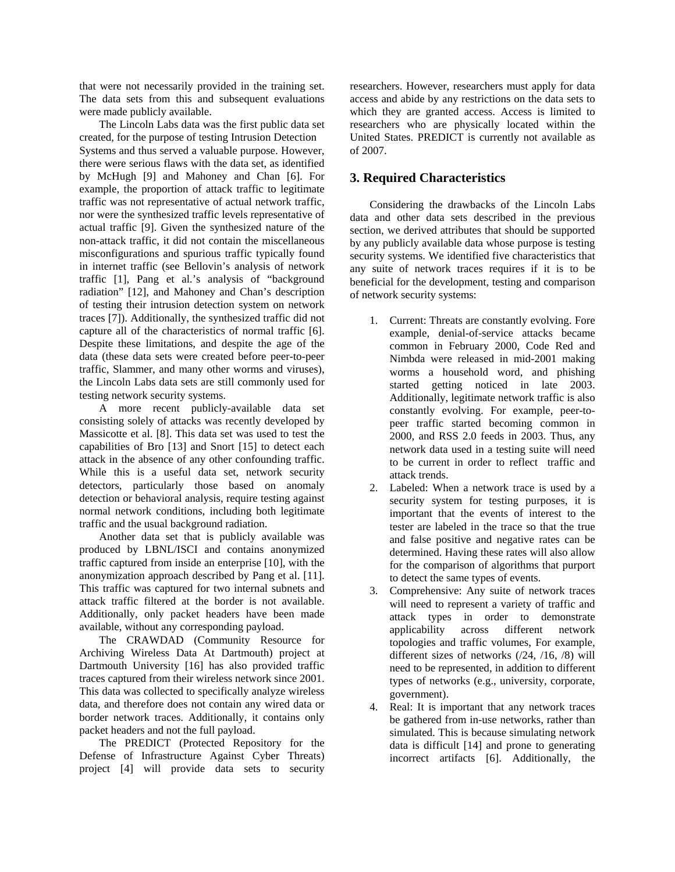that were not necessarily provided in the training set. The data sets from this and subsequent evaluations were made publicly available.

 The Lincoln Labs data was the first public data set created, for the purpose of testing Intrusion Detection Systems and thus served a valuable purpose. However, there were serious flaws with the data set, as identified by McHugh [9] and Mahoney and Chan [6]. For example, the proportion of attack traffic to legitimate traffic was not representative of actual network traffic, nor were the synthesized traffic levels representative of actual traffic [9]. Given the synthesized nature of the non-attack traffic, it did not contain the miscellaneous misconfigurations and spurious traffic typically found in internet traffic (see Bellovin's analysis of network traffic [1], Pang et al.'s analysis of "background radiation" [12], and Mahoney and Chan's description of testing their intrusion detection system on network traces [7]). Additionally, the synthesized traffic did not capture all of the characteristics of normal traffic [6]. Despite these limitations, and despite the age of the data (these data sets were created before peer-to-peer traffic, Slammer, and many other worms and viruses), the Lincoln Labs data sets are still commonly used for testing network security systems.

 A more recent publicly-available data set consisting solely of attacks was recently developed by Massicotte et al. [8]. This data set was used to test the capabilities of Bro [13] and Snort [15] to detect each attack in the absence of any other confounding traffic. While this is a useful data set, network security detectors, particularly those based on anomaly detection or behavioral analysis, require testing against normal network conditions, including both legitimate traffic and the usual background radiation.

 Another data set that is publicly available was produced by LBNL/ISCI and contains anonymized traffic captured from inside an enterprise [10], with the anonymization approach described by Pang et al. [11]. This traffic was captured for two internal subnets and attack traffic filtered at the border is not available. Additionally, only packet headers have been made available, without any corresponding payload.

 The CRAWDAD (Community Resource for Archiving Wireless Data At Dartmouth) project at Dartmouth University [16] has also provided traffic traces captured from their wireless network since 2001. This data was collected to specifically analyze wireless data, and therefore does not contain any wired data or border network traces. Additionally, it contains only packet headers and not the full payload.

 The PREDICT (Protected Repository for the Defense of Infrastructure Against Cyber Threats) project [4] will provide data sets to security researchers. However, researchers must apply for data access and abide by any restrictions on the data sets to which they are granted access. Access is limited to researchers who are physically located within the United States. PREDICT is currently not available as of 2007.

## **3. Required Characteristics**

 Considering the drawbacks of the Lincoln Labs data and other data sets described in the previous section, we derived attributes that should be supported by any publicly available data whose purpose is testing security systems. We identified five characteristics that any suite of network traces requires if it is to be beneficial for the development, testing and comparison of network security systems:

- 1. Current: Threats are constantly evolving. Fore example, denial-of-service attacks became common in February 2000, Code Red and Nimbda were released in mid-2001 making worms a household word, and phishing started getting noticed in late 2003. Additionally, legitimate network traffic is also constantly evolving. For example, peer-topeer traffic started becoming common in 2000, and RSS 2.0 feeds in 2003. Thus, any network data used in a testing suite will need to be current in order to reflect traffic and attack trends.
- 2. Labeled: When a network trace is used by a security system for testing purposes, it is important that the events of interest to the tester are labeled in the trace so that the true and false positive and negative rates can be determined. Having these rates will also allow for the comparison of algorithms that purport to detect the same types of events.
- 3. Comprehensive: Any suite of network traces will need to represent a variety of traffic and attack types in order to demonstrate applicability across different network topologies and traffic volumes, For example, different sizes of networks (/24, /16, /8) will need to be represented, in addition to different types of networks (e.g., university, corporate, government).
- 4. Real: It is important that any network traces be gathered from in-use networks, rather than simulated. This is because simulating network data is difficult [14] and prone to generating incorrect artifacts [6]. Additionally, the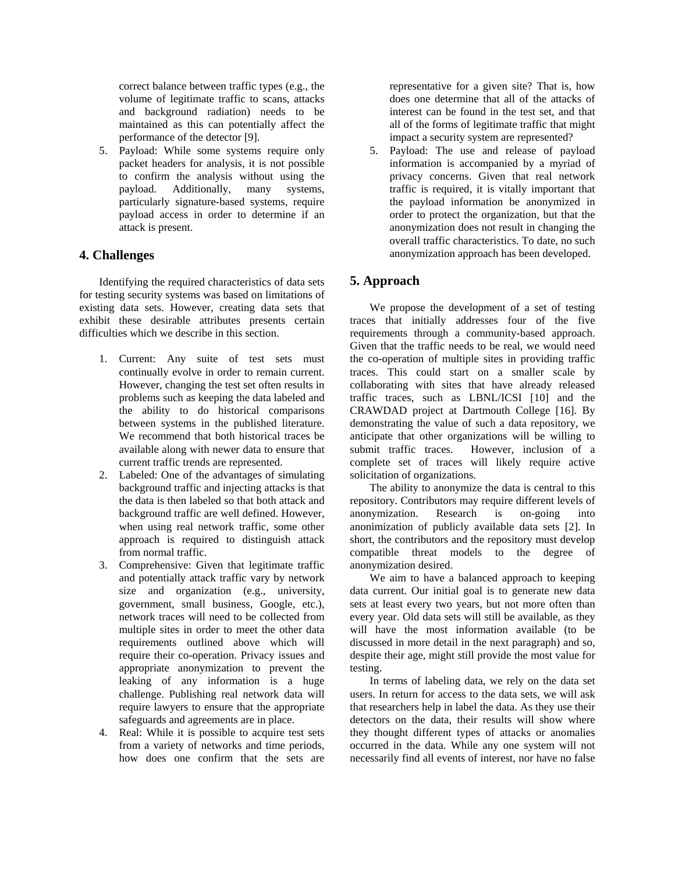correct balance between traffic types (e.g., the volume of legitimate traffic to scans, attacks and background radiation) needs to be maintained as this can potentially affect the performance of the detector [9].

5. Payload: While some systems require only packet headers for analysis, it is not possible to confirm the analysis without using the payload. Additionally, many systems, particularly signature-based systems, require payload access in order to determine if an attack is present.

## **4. Challenges**

 Identifying the required characteristics of data sets for testing security systems was based on limitations of existing data sets. However, creating data sets that exhibit these desirable attributes presents certain difficulties which we describe in this section.

- 1. Current: Any suite of test sets must continually evolve in order to remain current. However, changing the test set often results in problems such as keeping the data labeled and the ability to do historical comparisons between systems in the published literature. We recommend that both historical traces be available along with newer data to ensure that current traffic trends are represented.
- 2. Labeled: One of the advantages of simulating background traffic and injecting attacks is that the data is then labeled so that both attack and background traffic are well defined. However, when using real network traffic, some other approach is required to distinguish attack from normal traffic.
- 3. Comprehensive: Given that legitimate traffic and potentially attack traffic vary by network size and organization (e.g., university, government, small business, Google, etc.), network traces will need to be collected from multiple sites in order to meet the other data requirements outlined above which will require their co-operation. Privacy issues and appropriate anonymization to prevent the leaking of any information is a huge challenge. Publishing real network data will require lawyers to ensure that the appropriate safeguards and agreements are in place.
- 4. Real: While it is possible to acquire test sets from a variety of networks and time periods, how does one confirm that the sets are

representative for a given site? That is, how does one determine that all of the attacks of interest can be found in the test set, and that all of the forms of legitimate traffic that might impact a security system are represented?

5. Payload: The use and release of payload information is accompanied by a myriad of privacy concerns. Given that real network traffic is required, it is vitally important that the payload information be anonymized in order to protect the organization, but that the anonymization does not result in changing the overall traffic characteristics. To date, no such anonymization approach has been developed.

# **5. Approach**

 We propose the development of a set of testing traces that initially addresses four of the five requirements through a community-based approach. Given that the traffic needs to be real, we would need the co-operation of multiple sites in providing traffic traces. This could start on a smaller scale by collaborating with sites that have already released traffic traces, such as LBNL/ICSI [10] and the CRAWDAD project at Dartmouth College [16]. By demonstrating the value of such a data repository, we anticipate that other organizations will be willing to submit traffic traces. However, inclusion of a complete set of traces will likely require active solicitation of organizations.

 The ability to anonymize the data is central to this repository. Contributors may require different levels of anonymization. Research is on-going into anonimization of publicly available data sets [2]. In short, the contributors and the repository must develop compatible threat models to the degree of anonymization desired.

 We aim to have a balanced approach to keeping data current. Our initial goal is to generate new data sets at least every two years, but not more often than every year. Old data sets will still be available, as they will have the most information available (to be discussed in more detail in the next paragraph) and so, despite their age, might still provide the most value for testing.

 In terms of labeling data, we rely on the data set users. In return for access to the data sets, we will ask that researchers help in label the data. As they use their detectors on the data, their results will show where they thought different types of attacks or anomalies occurred in the data. While any one system will not necessarily find all events of interest, nor have no false